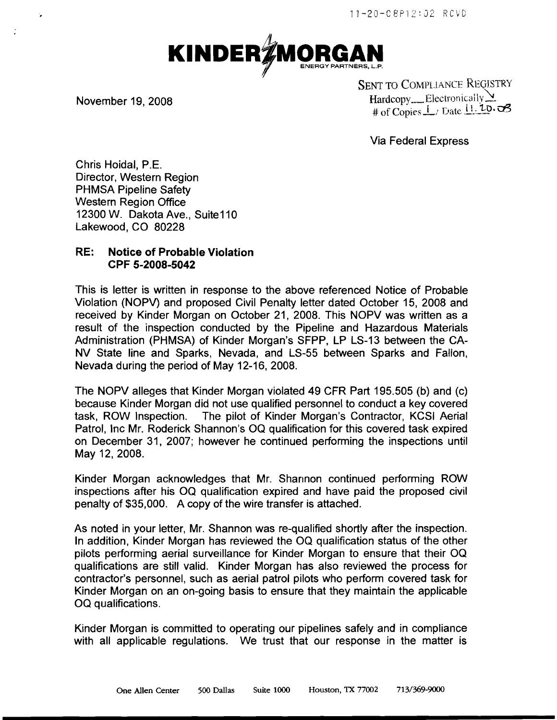

÷.

SENT TO COMPLIANCE REGISTRY November 19, 2008 **Hardcopy** Electronically # of Copies  $\perp$  / Date  $\perp$ . 10.  $\sigma$ 3

Via Federal Express

Chris Hoidal, P.E. Director, Western Region PHMSA Pipeline Safety Western Region Office 12300 W. Dakota Ave., Suite110 Lakewood, CO 80228

## RE: Notice of Probable Violation CPF 5-2008-5042

This is letter is written in response to the above referenced Notice of Probable Violation (NOPV) and proposed Civil Penalty letter dated October 15, 2008 and received by Kinder Morgan on October 21, 2008. This NOPV was written as a result of the inspection conducted by the Pipeline and Hazardous Materials Administration (PHMSA) of Kinder Morgan's SFPP, LP LS-13 between the CA-NV State line and Sparks, Nevada, and LS-55 between Sparks and Fallon, Nevada during the period of May 12-16, 2008.

The NOPV alleges that Kinder Morgan violated 49 CFR Part 195.505 (b) and (c) because Kinder Morgan did not use qualified personnel to conduct a key covered task, ROW Inspection. The pilot of Kinder Morgan's Contractor, KCSI Aerial Patrol, Inc Mr. Roderick Shannon's OQ qualification for this covered task expired on December 31, 2007; however he continued performing the inspections until May 12, 2008.

Kinder Morgan acknowledges that Mr. Shannon continued performing ROW inspections after his OQ qualification expired and have paid the proposed civil penalty of \$35,000. A copy of the wire transfer is attached.

As noted in your letter, Mr. Shannon was re-qualified shortly after the inspection. In addition, Kinder Morgan has reviewed the OQ qualification status of the other pilots performing aerial surveillance for Kinder Morgan to ensure that their OQ qualifications are still valid. Kinder Morgan has also reviewed the process for contractor's personnel, such as aerial patrol pilots who perform covered task for Kinder Morgan on an on-going basis to ensure that they maintain the applicable OQ qualifications.

Kinder Morgan is committed to operating our pipelines safely and in compliance with all applicable regulations. We trust that our response in the matter is